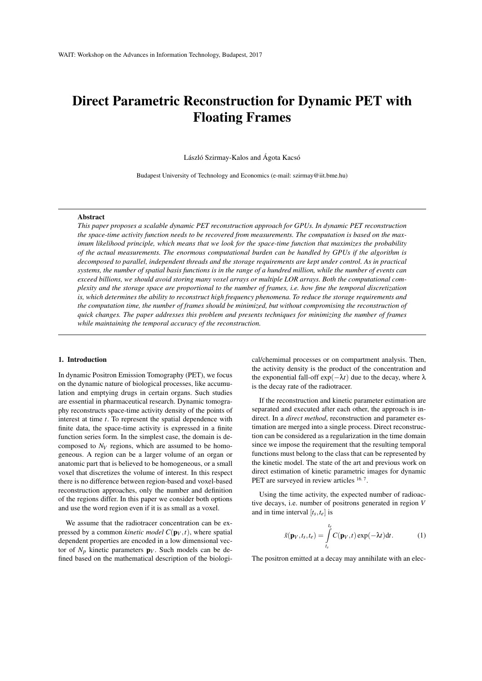# Direct Parametric Reconstruction for Dynamic PET with Floating Frames

László Szirmay-Kalos and Ágota Kacsó

Budapest University of Technology and Economics (e-mail: szirmay@iit.bme.hu)

## Abstract

*This paper proposes a scalable dynamic PET reconstruction approach for GPUs. In dynamic PET reconstruction the space-time activity function needs to be recovered from measurements. The computation is based on the maximum likelihood principle, which means that we look for the space-time function that maximizes the probability of the actual measurements. The enormous computational burden can be handled by GPUs if the algorithm is decomposed to parallel, independent threads and the storage requirements are kept under control. As in practical systems, the number of spatial basis functions is in the range of a hundred million, while the number of events can exceed billions, we should avoid storing many voxel arrays or multiple LOR arrays. Both the computational complexity and the storage space are proportional to the number of frames, i.e. how fine the temporal discretization is, which determines the ability to reconstruct high frequency phenomena. To reduce the storage requirements and the computation time, the number of frames should be minimized, but without compromising the reconstruction of quick changes. The paper addresses this problem and presents techniques for minimizing the number of frames while maintaining the temporal accuracy of the reconstruction.*

# 1. Introduction

In dynamic Positron Emission Tomography (PET), we focus on the dynamic nature of biological processes, like accumulation and emptying drugs in certain organs. Such studies are essential in pharmaceutical research. Dynamic tomography reconstructs space-time activity density of the points of interest at time *t*. To represent the spatial dependence with finite data, the space-time activity is expressed in a finite function series form. In the simplest case, the domain is decomposed to *NV* regions, which are assumed to be homogeneous. A region can be a larger volume of an organ or anatomic part that is believed to be homogeneous, or a small voxel that discretizes the volume of interest. In this respect there is no difference between region-based and voxel-based reconstruction approaches, only the number and definition of the regions differ. In this paper we consider both options and use the word region even if it is as small as a voxel.

We assume that the radiotracer concentration can be expressed by a common *kinetic model*  $C(\mathbf{p}_V, t)$ , where spatial dependent properties are encoded in a low dimensional vector of  $N_p$  kinetic parameters  $\mathbf{p}_V$ . Such models can be defined based on the mathematical description of the biological/chemimal processes or on compartment analysis. Then, the activity density is the product of the concentration and the exponential fall-off  $exp(-\lambda t)$  due to the decay, where  $\lambda$ is the decay rate of the radiotracer.

If the reconstruction and kinetic parameter estimation are separated and executed after each other, the approach is indirect. In a *direct method*, reconstruction and parameter estimation are merged into a single process. Direct reconstruction can be considered as a regularization in the time domain since we impose the requirement that the resulting temporal functions must belong to the class that can be represented by the kinetic model. The state of the art and previous work on direct estimation of kinetic parametric images for dynamic PET are surveyed in review articles <sup>16, 7</sup>.

Using the time activity, the expected number of radioactive decays, i.e. number of positrons generated in region *V* and in time interval  $[t_s, t_e]$  is

$$
\tilde{x}(\mathbf{p}_V, t_S, t_e) = \int_{t_S}^{t_e} C(\mathbf{p}_V, t) \exp(-\lambda t) dt.
$$
 (1)

The positron emitted at a decay may annihilate with an elec-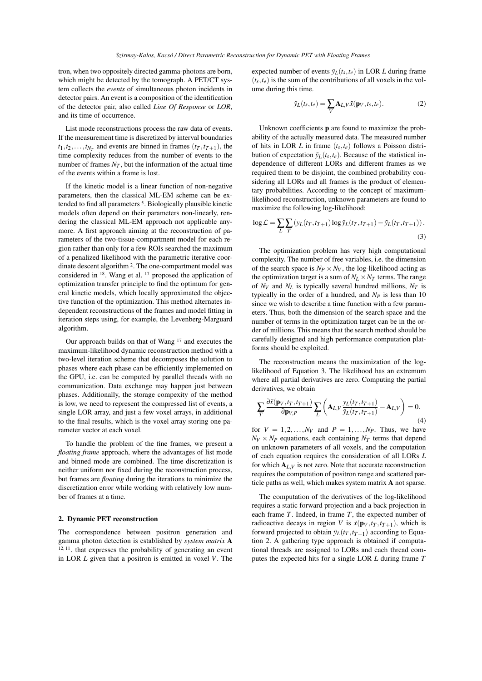tron, when two oppositely directed gamma-photons are born, which might be detected by the tomograph. A PET/CT system collects the *events* of simultaneous photon incidents in detector pairs. An event is a composition of the identification of the detector pair, also called *Line Of Response* or *LOR*, and its time of occurrence.

List mode reconstructions process the raw data of events. If the measurement time is discretized by interval boundaries  $t_1, t_2, \ldots, t_{N_T}$  and events are binned in frames  $(t_T, t_{T+1})$ , the time complexity reduces from the number of events to the number of frames *NT* , but the information of the actual time of the events within a frame is lost.

If the kinetic model is a linear function of non-negative parameters, then the classical ML-EM scheme can be extended to find all parameters<sup>5</sup>. Biologically plausible kinetic models often depend on their parameters non-linearly, rendering the classical ML-EM approach not applicable anymore. A first approach aiming at the reconstruction of parameters of the two-tissue-compartment model for each region rather than only for a few ROIs searched the maximum of a penalized likelihood with the parametric iterative coordinate descent algorithm <sup>2</sup> . The one-compartment model was considered in <sup>18</sup>. Wang et al. <sup>17</sup> proposed the application of optimization transfer principle to find the optimum for general kinetic models, which locally approximated the objective function of the optimization. This method alternates independent reconstructions of the frames and model fitting in iteration steps using, for example, the Levenberg-Marguard algorithm.

Our approach builds on that of Wang <sup>17</sup> and executes the maximum-likelihood dynamic reconstruction method with a two-level iteration scheme that decomposes the solution to phases where each phase can be efficiently implemented on the GPU, i.e. can be computed by parallel threads with no communication. Data exchange may happen just between phases. Additionally, the storage compexity of the method is low, we need to represent the compressed list of events, a single LOR array, and just a few voxel arrays, in additional to the final results, which is the voxel array storing one parameter vector at each voxel.

To handle the problem of the fine frames, we present a *floating frame* approach, where the advantages of list mode and binned mode are combined. The time discretization is neither uniform nor fixed during the reconstruction process, but frames are *floating* during the iterations to minimize the discretization error while working with relatively low number of frames at a time.

## 2. Dynamic PET reconstruction

The correspondence between positron generation and gamma photon detection is established by *system matrix* A <sup>12</sup>, <sup>11</sup>. that expresses the probability of generating an event in LOR *L* given that a positron is emitted in voxel *V*. The expected number of events  $\tilde{y}_L(t_s, t_e)$  in LOR *L* during frame  $(t<sub>s</sub>, t<sub>e</sub>)$  is the sum of the contributions of all voxels in the volume during this time.

$$
\tilde{y}_L(t_s, t_e) = \sum_V \mathbf{A}_{L,V} \tilde{x}(\mathbf{p}_V, t_s, t_e).
$$
 (2)

Unknown coefficients p are found to maximize the probability of the actually measured data. The measured number of hits in LOR *L* in frame (*ts*,*te*) follows a Poisson distribution of expectation  $\tilde{y}_L(t_s, t_e)$ . Because of the statistical independence of different LORs and different frames as we required them to be disjoint, the combined probability considering all LORs and all frames is the product of elementary probabilities. According to the concept of maximumlikelihood reconstruction, unknown parameters are found to maximize the following log-likelihood:

$$
\log \mathcal{L} = \sum_{L} \sum_{T} \left( y_L(t_T, t_{T+1}) \log \tilde{y}_L(t_T, t_{T+1}) - \tilde{y}_L(t_T, t_{T+1}) \right). \tag{3}
$$

The optimization problem has very high computational complexity. The number of free variables, i.e. the dimension of the search space is  $N_P \times N_V$ , the log-likelihood acting as the optimization target is a sum of  $N_L \times N_T$  terms. The range of  $N_V$  and  $N_L$  is typically several hundred millions,  $N_T$  is typically in the order of a hundred, and *NP* is less than 10 since we wish to describe a time function with a few parameters. Thus, both the dimension of the search space and the number of terms in the optimization target can be in the order of millions. This means that the search method should be carefully designed and high performance computation platforms should be exploited.

The reconstruction means the maximization of the loglikelihood of Equation 3. The likelihood has an extremum where all partial derivatives are zero. Computing the partial derivatives, we obtain

$$
\sum_{T} \frac{\partial \tilde{x}(\mathbf{p}_V, t_T, t_{T+1})}{\partial \mathbf{p}_{V,P}} \sum_{L} \left( \mathbf{A}_{L,V} \frac{y_L(t_T, t_{T+1})}{\tilde{y}_L(t_T, t_{T+1})} - \mathbf{A}_{L,V} \right) = 0.
$$
\n(4)

for  $V = 1, 2, \ldots, N_V$  and  $P = 1, \ldots, N_P$ . Thus, we have  $N_V \times N_P$  equations, each containing  $N_T$  terms that depend on unknown parameters of all voxels, and the computation of each equation requires the consideration of all LORs *L* for which  $A_{L,V}$  is not zero. Note that accurate reconstruction requires the computation of positron range and scattered particle paths as well, which makes system matrix A not sparse.

The computation of the derivatives of the log-likelihood requires a static forward projection and a back projection in each frame *T*. Indeed, in frame *T*, the expected number of radioactive decays in region *V* is  $\tilde{x}(\mathbf{p}_V, t_T, t_{T+1})$ , which is forward projected to obtain  $\tilde{y}_L(t_T, t_{T+1})$  according to Equation 2. A gathering type approach is obtained if computational threads are assigned to LORs and each thread computes the expected hits for a single LOR *L* during frame *T*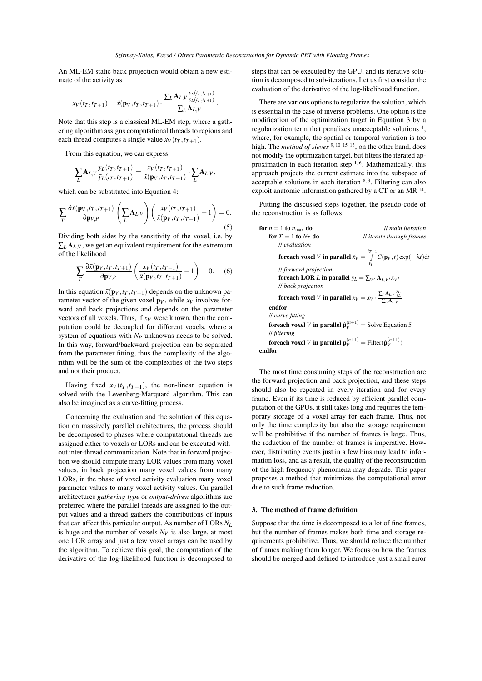.

An ML-EM static back projection would obtain a new estimate of the activity as

$$
x_V(t_T,t_{T+1}) = \tilde{x}(\mathbf{p}_V,t_T,t_{T+1}) \cdot \frac{\sum_L \mathbf{A}_{L,V} \frac{y_L(t_T,t_{T+1})}{\tilde{y}_L(t_T,t_{T+1})}}{\sum_L \mathbf{A}_{L,V}}
$$

Note that this step is a classical ML-EM step, where a gathering algorithm assigns computational threads to regions and each thread computes a single value  $x_V(t_T, t_{T+1})$ .

From this equation, we can express

$$
\sum_{L} A_{L,V} \frac{y_L(t_T, t_{T+1})}{\tilde{y}_L(t_T, t_{T+1})} = \frac{x_V(t_T, t_{T+1})}{\tilde{x}(\mathbf{p}_V, t_T, t_{T+1})} \cdot \sum_{L} A_{L,V},
$$

which can be substituted into Equation 4:

$$
\sum_{T} \frac{\partial \tilde{x}(\mathbf{p}_V, t_T, t_{T+1})}{\partial \mathbf{p}_{V,P}} \left( \sum_{L} \mathbf{A}_{L,V} \right) \left( \frac{x_V(t_T, t_{T+1})}{\tilde{x}(\mathbf{p}_V, t_T, t_{T+1})} - 1 \right) = 0.
$$
\n(5)

Dividing both sides by the sensitivity of the voxel, i.e. by  $\sum_{l}$   $\mathbf{A}_{l}$ , *V*, we get an equivalent requirement for the extremum of the likelihood

$$
\sum_{T} \frac{\partial \tilde{x}(\mathbf{p}_V, t_T, t_{T+1})}{\partial \mathbf{p}_{V,P}} \left( \frac{x_V(t_T, t_{T+1})}{\tilde{x}(\mathbf{p}_V, t_T, t_{T+1})} - 1 \right) = 0. \quad (6)
$$

In this equation  $\tilde{x}(\mathbf{p}_V, t_T, t_{T+1})$  depends on the unknown parameter vector of the given voxel  $\mathbf{p}_V$ , while  $x_V$  involves forward and back projections and depends on the parameter vectors of all voxels. Thus, if *xV* were known, then the computation could be decoupled for different voxels, where a system of equations with *NP* unknowns needs to be solved. In this way, forward/backward projection can be separated from the parameter fitting, thus the complexity of the algorithm will be the sum of the complexities of the two steps and not their product.

Having fixed  $x_V(t_T, t_{T+1})$ , the non-linear equation is solved with the Levenberg-Marquard algorithm. This can also be imagined as a curve-fitting process.

Concerning the evaluation and the solution of this equation on massively parallel architectures, the process should be decomposed to phases where computational threads are assigned either to voxels or LORs and can be executed without inter-thread communication. Note that in forward projection we should compute many LOR values from many voxel values, in back projection many voxel values from many LORs, in the phase of voxel activity evaluation many voxel parameter values to many voxel activity values. On parallel architectures *gathering type* or *output-driven* algorithms are preferred where the parallel threads are assigned to the output values and a thread gathers the contributions of inputs that can affect this particular output. As number of LORs *NL* is huge and the number of voxels *NV* is also large, at most one LOR array and just a few voxel arrays can be used by the algorithm. To achieve this goal, the computation of the derivative of the log-likelihood function is decomposed to steps that can be executed by the GPU, and its iterative solution is decomposed to sub-iterations. Let us first consider the evaluation of the derivative of the log-likelihood function.

There are various options to regularize the solution, which is essential in the case of inverse problems. One option is the modification of the optimization target in Equation 3 by a regularization term that penalizes unacceptable solutions<sup>4</sup>, where, for example, the spatial or temporal variation is too high. The *method of sieves* <sup>9</sup>, <sup>10</sup>, <sup>15</sup>, <sup>13</sup>, on the other hand, does not modify the optimization target, but filters the iterated approximation in each iteration step  $1, 6$ . Mathematically, this approach projects the current estimate into the subspace of acceptable solutions in each iteration <sup>8</sup>, <sup>3</sup> . Filtering can also exploit anatomic information gathered by a CT or an MR<sup>14</sup>.

Putting the discussed steps together, the pseudo-code of the reconstruction is as follows:

**for**  $n = 1$  **to**  $n_{\text{max}}$  **do** *ll main iteration*<br>**for**  $T = 1$  **to**  $N_T$  **do** *ll iterate through frames II* iterate through frames // *evaluation* foreach voxel *V* in parallel  $\tilde{x}_V = \int^{t_{T+1}}$  $\int_{t_T}$  *C*( $\mathbf{p}_V$ ,*t*) exp(−λ*t*)d*t* // *forward projection* foreach LOR *L* in parallel  $\tilde{y}_L = \sum_{V'} \mathbf{A}_{L,V'} \tilde{x}_{V'}$ // *back projection* foreach voxel *V* in parallel  $x_V = \tilde{x}_V \cdot \frac{\sum_L A_{L,V} \frac{y_L}{y_L}}{\sum_L A_{L,V}}$ endfor // *curve fitting* **foreach voxel** *V* in parallel  $\hat{\mathbf{p}}_V^{(n+1)} =$  Solve Equation 5 // *filtering* foreach voxel *V* in parallel  $\mathbf{p}_V^{(n+1)} = \text{Filter}(\hat{\mathbf{p}}_V^{(n+1)})$ endfor

The most time consuming steps of the reconstruction are the forward projection and back projection, and these steps should also be repeated in every iteration and for every frame. Even if its time is reduced by efficient parallel computation of the GPUs, it still takes long and requires the temporary storage of a voxel array for each frame. Thus, not only the time complexity but also the storage requirement will be prohibitive if the number of frames is large. Thus, the reduction of the number of frames is imperative. However, distributing events just in a few bins may lead to information loss, and as a result, the quality of the reconstruction of the high frequency phenomena may degrade. This paper proposes a method that minimizes the computational error due to such frame reduction.

#### 3. The method of frame definition

Suppose that the time is decomposed to a lot of fine frames, but the number of frames makes both time and storage requirements prohibitive. Thus, we should reduce the number of frames making them longer. We focus on how the frames should be merged and defined to introduce just a small error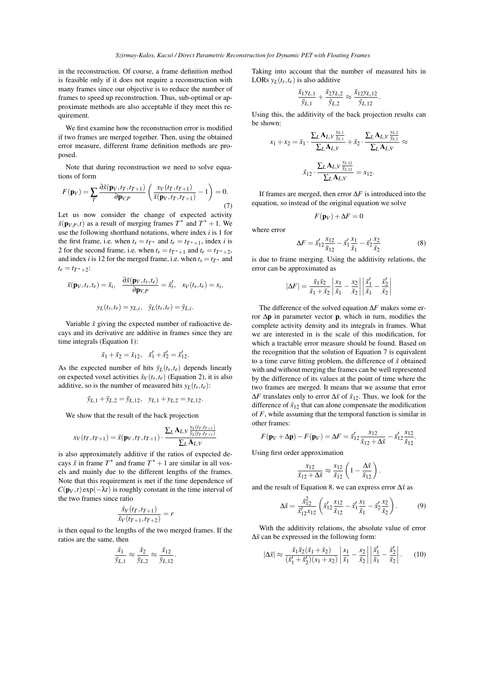in the reconstruction. Of course, a frame definition method is feasible only if it does not require a reconstruction with many frames since our objective is to reduce the number of frames to speed up reconstruction. Thus, sub-optimal or approximate methods are also acceptable if they meet this requirement.

We first examine how the reconstruction error is modified if two frames are merged together. Then, using the obtained error measure, different frame definition methods are proposed.

Note that during reconstruction we need to solve equations of form

$$
F(\mathbf{p}_V) = \sum_T \frac{\partial \tilde{x}(\mathbf{p}_V, t_T, t_{T+1})}{\partial \mathbf{p}_{V,P}} \left( \frac{x_V(t_T, t_{T+1})}{\tilde{x}(\mathbf{p}_V, t_T, t_{T+1})} - 1 \right) = 0.
$$
\n(7)

Let us now consider the change of expected activity  $\tilde{x}(\mathbf{p}_{V,P},t)$  as a result of merging frames  $T^*$  and  $T^*+1$ . We use the following shorthand notations, where index *i* is 1 for the first frame, i.e. when  $t_s = t_T^*$  and  $t_e = t_{T^*+1}$ , index *i* is 2 for the second frame, i.e. when  $t_s = t_{T^*+1}$  and  $t_e = t_{T^*+2}$ , and index *i* is 12 for the merged frame, i.e. when  $t_s = t_T^*$  and  $t_e = t_{T^*+2}$ :

$$
\tilde{x}(\mathbf{p}_V, t_s, t_e) = \tilde{x}_i, \quad \frac{\partial \tilde{x}(\mathbf{p}_V, t_s, t_e)}{\partial \mathbf{p}_{V,P}} = \tilde{x}'_i, \quad x_V(t_s, t_e) = x_i,
$$

$$
y_L(t_s, t_e) = y_{L,i}, \quad \tilde{y}_L(t_s, t_e) = \tilde{y}_{L,i}.
$$

Variable  $\tilde{x}$  giving the expected number of radioactive decays and its derivative are additive in frames since they are time integrals (Equation 1):

$$
\tilde{x}_1 + \tilde{x}_2 = \tilde{x}_{12}, \quad \tilde{x}'_1 + \tilde{x}'_2 = \tilde{x}'_{12}.
$$

As the expected number of hits  $\tilde{v}_L(t_s, t_e)$  depends linearly on expected voxel activities  $\tilde{x}_V(t_s, t_e)$  (Equation 2), it is also additive, so is the number of measured hits  $y_L(t_s, t_e)$ :

$$
\tilde{y}_{L,1} + \tilde{y}_{L,2} = \tilde{y}_{L,12}, y_{L,1} + y_{L,2} = y_{L,12}.
$$

We show that the result of the back projection

$$
x_V(t_T, t_{T+1}) = \tilde{x}(\mathbf{p}_V, t_T, t_{T+1}) \cdot \frac{\sum_L A_{L,V} \frac{y_L(t_T, t_{T+1})}{\tilde{y}_L(t_T, t_{T+1})}}{\sum_L A_{L,V}}
$$

is also approximately additive if the ratios of expected decays  $\tilde{x}$  in frame  $T^*$  and frame  $T^* + 1$  are similar in all voxels and mainly due to the different lengths of the frames. Note that this requirement is met if the time dependence of  $C(\mathbf{p}_V, t)$  exp( $-\lambda t$ ) is roughly constant in the time interval of the two frames since ratio

$$
\frac{\tilde{x}_V(t_T,t_{T+1})}{\tilde{x}_V(t_{T+1},t_{T+2})} = r
$$

is then equal to the lengths of the two merged frames. If the ratios are the same, then

$$
\frac{\tilde{x}_1}{\tilde{y}_{L,1}} \approx \frac{\tilde{x}_2}{\tilde{y}_{L,2}} \approx \frac{\tilde{x}_{12}}{\tilde{y}_{L,12}}.
$$

Taking into account that the number of measured hits in LORs  $y_L(t_s, t_e)$  is also additive

$$
\frac{\tilde{x}_1 y_{L,1}}{\tilde{y}_{L,1}} + \frac{\tilde{x}_2 y_{L,2}}{\tilde{y}_{L,2}} \approx \frac{\tilde{x}_1 2 y_{L,12}}{\tilde{y}_{L,12}}
$$

.

Using this, the additivity of the back projection results can be shown:

$$
x_1 + x_2 = \tilde{x}_1 \cdot \frac{\sum_L A_{L,V} \frac{y_{L,1}}{\tilde{y}_{L,1}}}{\sum_L A_{L,V}} + \tilde{x}_2 \cdot \frac{\sum_L A_{L,V} \frac{y_{L,2}}{\tilde{y}_{L,2}}}{\sum_L A_{L,V}} \approx
$$

$$
\tilde{x}_{12} \cdot \frac{\sum_L A_{L,V} \frac{y_{L,12}}{\tilde{y}_{L,12}}}{\sum_L A_{L,V}} = x_{12}.
$$

If frames are merged, then error ∆*F* is introduced into the equation, so instead of the original equation we solve

$$
F(\mathbf{p}_V) + \Delta F = 0
$$

where error

$$
\Delta F = \tilde{x}'_{12} \frac{x_{12}}{\tilde{x}_{12}} - \tilde{x}'_1 \frac{x_1}{\tilde{x}_1} - \tilde{x}'_2 \frac{x_2}{\tilde{x}_2}
$$
(8)

is due to frame merging. Using the additivity relations, the error can be approximated as

$$
|\Delta F| = \frac{\tilde{x}_1 \tilde{x}_2}{\tilde{x}_1 + \tilde{x}_2} \left| \frac{x_1}{\tilde{x}_1} - \frac{x_2}{\tilde{x}_2} \right| \left| \frac{\tilde{x}_1'}{\tilde{x}_1} - \frac{\tilde{x}_2'}{\tilde{x}_2} \right|
$$

The difference of the solved equation ∆*F* makes some error ∆p in parameter vector p, which in turn, modifies the complete activity density and its integrals in frames. What we are interested in is the scale of this modification, for which a tractable error measure should be found. Based on the recognition that the solution of Equation 7 is equivalent to a time curve fitting problem, the difference of  $\tilde{x}$  obtained with and without merging the frames can be well represented by the difference of its values at the point of time where the two frames are merged. It means that we assume that error ∆*F* translates only to error ∆*x*˜ of ˜*x*12. Thus, we look for the difference of  $\tilde{x}_{12}$  that can alone compensate the modification of *F*, while assuming that the temporal function is similar in other frames:

$$
F(\mathbf{p}_V + \Delta \mathbf{p}) - F(\mathbf{p}_V) = \Delta F = \tilde{x}'_{12} \frac{x_{12}}{\tilde{x}_{12} + \Delta \tilde{x}} - \tilde{x}'_{12} \frac{x_{12}}{\tilde{x}_{12}}.
$$

Using first order approximation

$$
\frac{x_{12}}{\tilde{x}_{12} + \Delta \tilde{x}} \approx \frac{x_{12}}{\tilde{x}_{12}} \left( 1 - \frac{\Delta \tilde{x}}{\tilde{x}_{12}} \right).
$$

and the result of Equation 8, we can express error ∆*x*˜ as

$$
\Delta \tilde{x} = \frac{\tilde{x}_{12}^2}{\tilde{x}_{12}' x_{12}} \left( \tilde{x}_{12}' \frac{x_{12}}{\tilde{x}_{12}} - \tilde{x}_1' \frac{x_1}{\tilde{x}_1} - \tilde{x}_2' \frac{x_2}{\tilde{x}_2} \right).
$$
 (9)

With the additivity relations, the absolute value of error  $Δx̃$  can be expressed in the following form:

$$
|\Delta \tilde{x}| \approx \frac{\tilde{x}_1 \tilde{x}_2 (\tilde{x}_1 + \tilde{x}_2)}{(\tilde{x}_1' + \tilde{x}_2') (x_1 + x_2)} \left| \frac{x_1}{\tilde{x}_1} - \frac{x_2}{\tilde{x}_2} \right| \left| \frac{\tilde{x}_1'}{\tilde{x}_1} - \frac{\tilde{x}_2'}{\tilde{x}_2} \right|.
$$
 (10)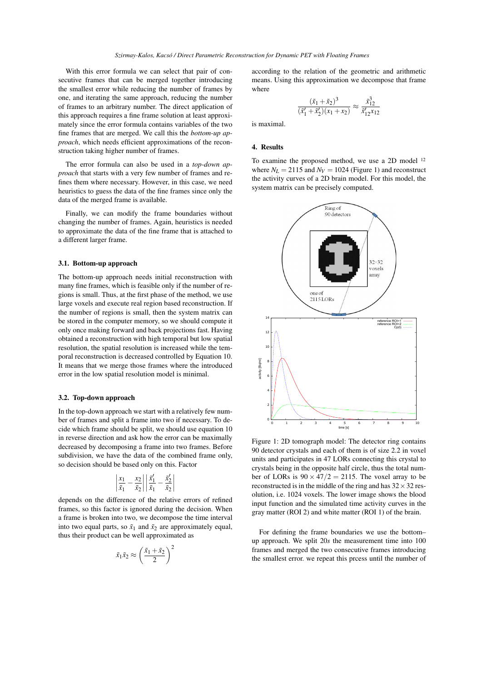With this error formula we can select that pair of consecutive frames that can be merged together introducing the smallest error while reducing the number of frames by one, and iterating the same approach, reducing the number of frames to an arbitrary number. The direct application of this approach requires a fine frame solution at least approximately since the error formula contains variables of the two fine frames that are merged. We call this the *bottom-up approach*, which needs efficient approximations of the reconstruction taking higher number of frames.

The error formula can also be used in a *top-down approach* that starts with a very few number of frames and refines them where necessary. However, in this case, we need heuristics to guess the data of the fine frames since only the data of the merged frame is available.

Finally, we can modify the frame boundaries without changing the number of frames. Again, heuristics is needed to approximate the data of the fine frame that is attached to a different larger frame.

# 3.1. Bottom-up approach

The bottom-up approach needs initial reconstruction with many fine frames, which is feasible only if the number of regions is small. Thus, at the first phase of the method, we use large voxels and execute real region based reconstruction. If the number of regions is small, then the system matrix can be stored in the computer memory, so we should compute it only once making forward and back projections fast. Having obtained a reconstruction with high temporal but low spatial resolution, the spatial resolution is increased while the temporal reconstruction is decreased controlled by Equation 10. It means that we merge those frames where the introduced error in the low spatial resolution model is minimal.

#### 3.2. Top-down approach

In the top-down approach we start with a relatively few number of frames and split a frame into two if necessary. To decide which frame should be split, we should use equation 10 in reverse direction and ask how the error can be maximally decreased by decomposing a frame into two frames. Before subdivision, we have the data of the combined frame only, so decision should be based only on this. Factor

$$
\left|\frac{x_1}{\tilde{x}_1} - \frac{x_2}{\tilde{x}_2}\right| \left|\frac{\tilde{x}_1'}{\tilde{x}_1} - \frac{\tilde{x}_2'}{\tilde{x}_2}\right|
$$

depends on the difference of the relative errors of refined frames, so this factor is ignored during the decision. When a frame is broken into two, we decompose the time interval into two equal parts, so  $\tilde{x}_1$  and  $\tilde{x}_2$  are approximately equal, thus their product can be well approximated as

$$
\tilde{x}_1 \tilde{x}_2 \approx \left(\frac{\tilde{x}_1 + \tilde{x}_2}{2}\right)^2
$$

according to the relation of the geometric and arithmetic means. Using this approximation we decompose that frame where

$$
\frac{(\tilde{x}_1 + \tilde{x}_2)^3}{(\tilde{x}'_1 + \tilde{x}'_2)(x_1 + x_2)} \approx \frac{\tilde{x}_{12}^3}{\tilde{x}'_{12}x_{12}}
$$

is maximal.

# 4. Results

To examine the proposed method, we use a 2D model <sup>12</sup> where  $N_L = 2115$  and  $N_V = 1024$  (Figure 1) and reconstruct the activity curves of a 2D brain model. For this model, the system matrix can be precisely computed.



Figure 1: 2D tomograph model: The detector ring contains 90 detector crystals and each of them is of size 2.2 in voxel units and participates in 47 LORs connecting this crystal to crystals being in the opposite half circle, thus the total number of LORs is  $90 \times 47/2 = 2115$ . The voxel array to be reconstructed is in the middle of the ring and has  $32 \times 32$  resolution, i.e. 1024 voxels. The lower image shows the blood input function and the simulated time activity curves in the gray matter (ROI 2) and white matter (ROI 1) of the brain.

For defining the frame boundaries we use the bottom– up approach. We split 20*s* the measurement time into 100 frames and merged the two consecutive frames introducing the smallest error. we repeat this prcess until the number of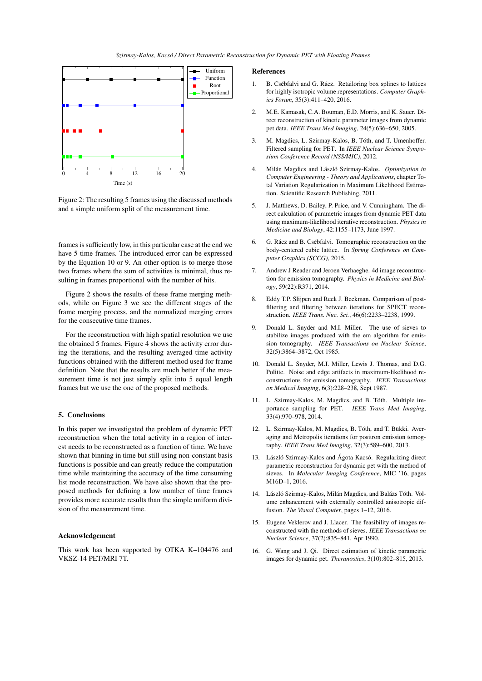*Szirmay-Kalos, Kacsó / Direct Parametric Reconstruction for Dynamic PET with Floating Frames*



Figure 2: The resulting 5 frames using the discussed methods and a simple uniform split of the measurement time.

frames is sufficiently low, in this particular case at the end we have 5 time frames. The introduced error can be expressed by the Equation 10 or 9. An other option is to merge those two frames where the sum of activities is minimal, thus resulting in frames proportional with the number of hits.

Figure 2 shows the results of these frame merging methods, while on Figure 3 we see the different stages of the frame merging process, and the normalized merging errors for the consecutive time frames.

For the reconstruction with high spatial resolution we use the obtained 5 frames. Figure 4 shows the activity error during the iterations, and the resulting averaged time activity functions obtained with the different method used for frame definition. Note that the results are much better if the measurement time is not just simply split into 5 equal length frames but we use the one of the proposed methods.

#### 5. Conclusions

In this paper we investigated the problem of dynamic PET reconstruction when the total activity in a region of interest needs to be reconstructed as a function of time. We have shown that binning in time but still using non-constant basis functions is possible and can greatly reduce the computation time while maintaining the accuracy of the time consuming list mode reconstruction. We have also shown that the proposed methods for defining a low number of time frames provides more accurate results than the simple uniform division of the measurement time.

# Acknowledgement

This work has been supported by OTKA K–104476 and VKSZ-14 PET/MRI 7T.

## References

- 1. B. Csébfalvi and G. Rácz. Retailoring box splines to lattices for highly isotropic volume representations. *Computer Graphics Forum*, 35(3):411–420, 2016.
- 2. M.E. Kamasak, C.A. Bouman, E.D. Morris, and K. Sauer. Direct reconstruction of kinetic parameter images from dynamic pet data. *IEEE Trans Med Imaging*, 24(5):636–650, 2005.
- 3. M. Magdics, L. Szirmay-Kalos, B. Tóth, and T. Umenhoffer. Filtered sampling for PET. In *IEEE Nuclear Science Symposium Conference Record (NSS/MIC)*, 2012.
- 4. Milán Magdics and László Szirmay-Kalos. *Optimization in Computer Engineering - Theory and Applications*, chapter Total Variation Regularization in Maximum Likelihood Estimation. Scientific Research Publishing, 2011.
- 5. J. Matthews, D. Bailey, P. Price, and V. Cunningham. The direct calculation of parametric images from dynamic PET data using maximum-likelihood iterative reconstruction. *Physics in Medicine and Biology*, 42:1155–1173, June 1997.
- 6. G. Rácz and B. Csébfalvi. Tomographic reconstruction on the body-centered cubic lattice. In *Spring Conference on Computer Graphics (SCCG)*, 2015.
- 7. Andrew J Reader and Jeroen Verhaeghe. 4d image reconstruction for emission tomography. *Physics in Medicine and Biology*, 59(22):R371, 2014.
- 8. Eddy T.P. Slijpen and Reek J. Beekman. Comparison of postfiltering and filtering between iterations for SPECT reconstruction. *IEEE Trans. Nuc. Sci.*, 46(6):2233–2238, 1999.
- 9. Donald L. Snyder and M.I. Miller. The use of sieves to stabilize images produced with the em algorithm for emission tomography. *IEEE Transactions on Nuclear Science*, 32(5):3864–3872, Oct 1985.
- 10. Donald L. Snyder, M.I. Miller, Lewis J. Thomas, and D.G. Politte. Noise and edge artifacts in maximum-likelihood reconstructions for emission tomography. *IEEE Transactions on Medical Imaging*, 6(3):228–238, Sept 1987.
- 11. L. Szirmay-Kalos, M. Magdics, and B. Tóth. Multiple importance sampling for PET. *IEEE Trans Med Imaging*, 33(4):970–978, 2014.
- 12. L. Szirmay-Kalos, M. Magdics, B. Tóth, and T. Bükki. Averaging and Metropolis iterations for positron emission tomography. *IEEE Trans Med Imaging*, 32(3):589–600, 2013.
- 13. László Szirmay-Kalos and Ágota Kacsó. Regularizing direct parametric reconstruction for dynamic pet with the method of sieves. In *Molecular Imaging Conference*, MIC '16, pages M16D–1, 2016.
- 14. László Szirmay-Kalos, Milán Magdics, and Balázs Tóth. Volume enhancement with externally controlled anisotropic diffusion. *The Visual Computer*, pages 1–12, 2016.
- 15. Eugene Veklerov and J. Llacer. The feasibility of images reconstructed with the methods of sieves. *IEEE Transactions on Nuclear Science*, 37(2):835–841, Apr 1990.
- 16. G. Wang and J. Qi. Direct estimation of kinetic parametric images for dynamic pet. *Theranostics*, 3(10):802–815, 2013.